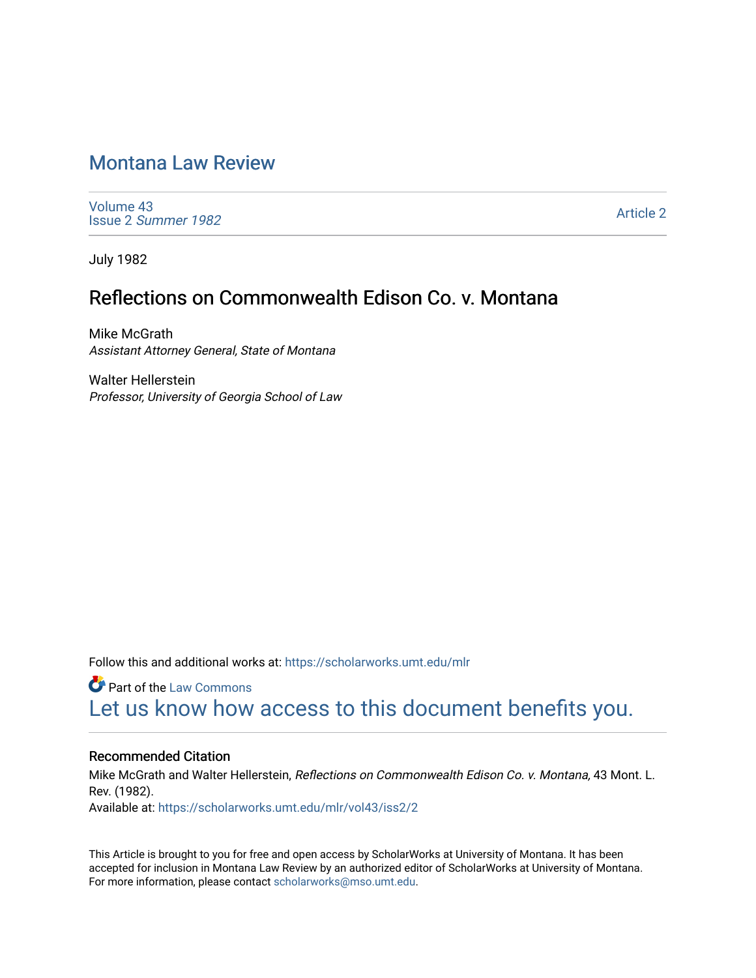# [Montana Law Review](https://scholarworks.umt.edu/mlr)

[Volume 43](https://scholarworks.umt.edu/mlr/vol43) Issue 2 [Summer 1982](https://scholarworks.umt.edu/mlr/vol43/iss2) 

[Article 2](https://scholarworks.umt.edu/mlr/vol43/iss2/2) 

July 1982

## Reflections on Commonwealth Edison Co. v. Montana

Mike McGrath Assistant Attorney General, State of Montana

Walter Hellerstein Professor, University of Georgia School of Law

Follow this and additional works at: [https://scholarworks.umt.edu/mlr](https://scholarworks.umt.edu/mlr?utm_source=scholarworks.umt.edu%2Fmlr%2Fvol43%2Fiss2%2F2&utm_medium=PDF&utm_campaign=PDFCoverPages) 

**C** Part of the [Law Commons](http://network.bepress.com/hgg/discipline/578?utm_source=scholarworks.umt.edu%2Fmlr%2Fvol43%2Fiss2%2F2&utm_medium=PDF&utm_campaign=PDFCoverPages) [Let us know how access to this document benefits you.](https://goo.gl/forms/s2rGfXOLzz71qgsB2) 

#### Recommended Citation

Mike McGrath and Walter Hellerstein, Reflections on Commonwealth Edison Co. v. Montana, 43 Mont. L. Rev. (1982). Available at: [https://scholarworks.umt.edu/mlr/vol43/iss2/2](https://scholarworks.umt.edu/mlr/vol43/iss2/2?utm_source=scholarworks.umt.edu%2Fmlr%2Fvol43%2Fiss2%2F2&utm_medium=PDF&utm_campaign=PDFCoverPages) 

This Article is brought to you for free and open access by ScholarWorks at University of Montana. It has been accepted for inclusion in Montana Law Review by an authorized editor of ScholarWorks at University of Montana. For more information, please contact [scholarworks@mso.umt.edu.](mailto:scholarworks@mso.umt.edu)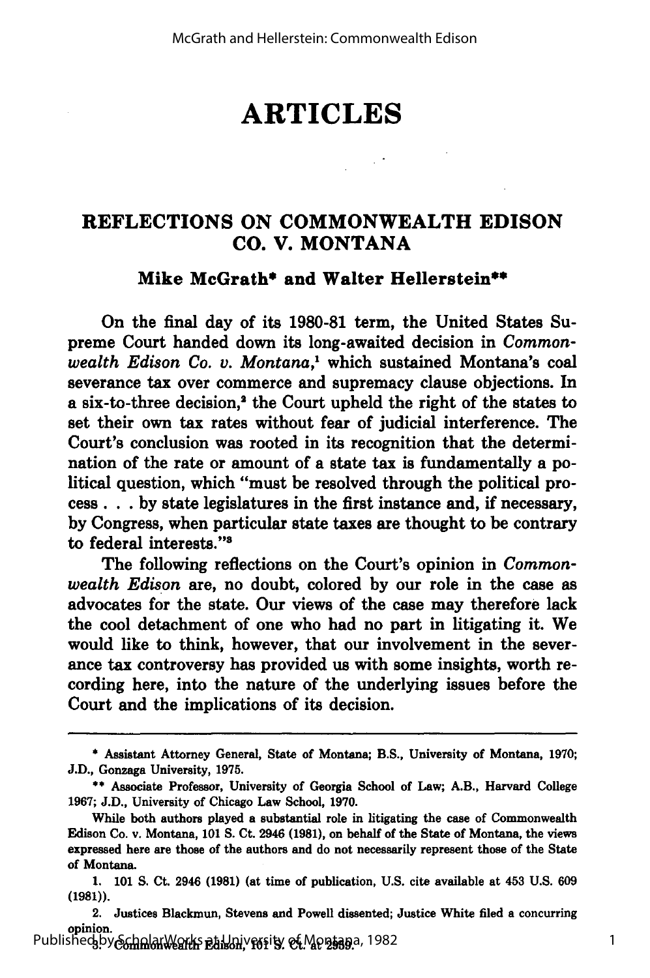# **ARTICLES**

## **REFLECTIONS ON COMMONWEALTH EDISON CO. V. MONTANA**

#### **Mike McGrath\* and Walter Hellerstein\***

On the final day of its **1980-81** term, the United States Supreme Court handed down its long-awaited decision in *Commonwealth Edison Co. v. Montana,1* which sustained Montana's coal severance tax over commerce and supremacy clause objections. In a six-to-three decision,<sup>2</sup> the Court upheld the right of the states to set their own tax rates without fear of judicial interference. The Court's conclusion was rooted in its recognition that the determination of the rate or amount of a state tax is fundamentally a political question, which "must be resolved through the political process **... by** state legislatures in the first instance and, if necessary, **by** Congress, when particular state taxes are thought to be contrary to federal interests."8

The following reflections on the Court's opinion in *Commonwealth Edison* are, no doubt, colored **by** our role in the case as advocates for the state. Our views of the case may therefore lack the cool detachment of one who had no part in litigating it. We would like to think, however, that our involvement in the severance tax controversy has provided us with some insights, worth recording here, into the nature of the underlying issues before the Court and the implications of its decision.

**<sup>\*</sup>** Assistant Attorney General, State of Montana; B.S., University of Montana, **1970; J.D.,** Gonzaga University, **1975.**

**<sup>\*\*</sup>** Associate Professor, University of Georgia School of Law; A.B., Harvard College **1967; J.D.,** University of Chicago Law School, **1970.**

While both authors played a substantial role in litigating the case of Commonwealth Edison Co. v. Montana, **101 S.** Ct. 2946 **(1981),** on behalf of the State of Montana, the views expressed here are those of the authors and do not necessarily represent those of the State of Montana.

**<sup>1. 101</sup> S.** Ct. 2946 **(1981)** (at time of publication, **U.S.** cite available at 453 **U.S. 609** (1981)).

<sup>2.</sup> Justices Blackmun, Stevens and Powell dissented; Justice White filed a concurring opinion. Published by ScholarWorks at University of Montana, 1982<br>1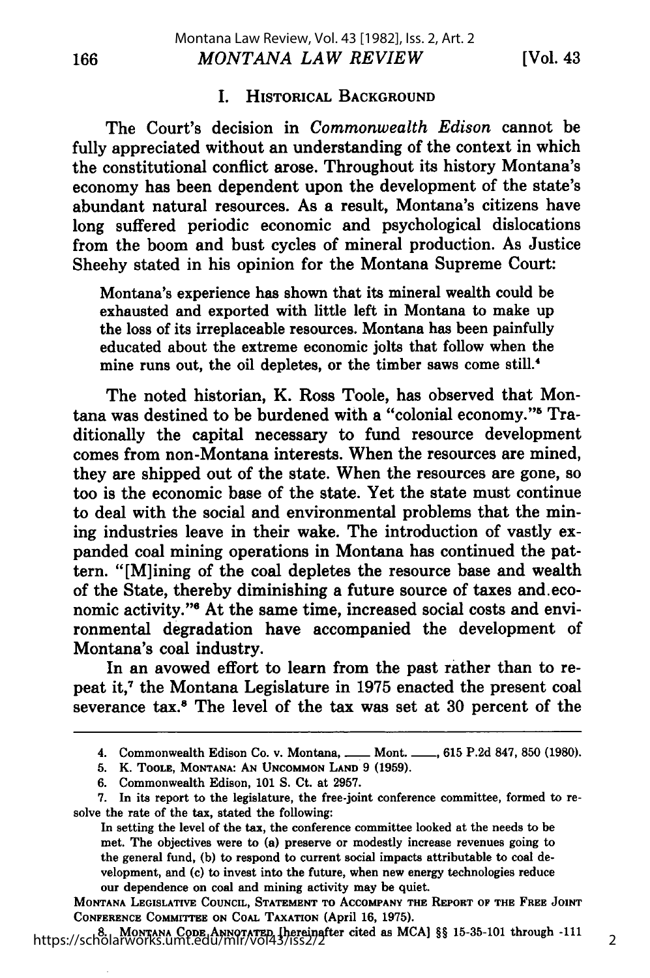[Vol. 43

2

#### I. HISTORICAL **BACKGROUND**

The Court's decision in *Commonwealth Edison* cannot be fully appreciated without an understanding of the context in which the constitutional conflict arose. Throughout its history Montana's economy has been dependent upon the development of the state's abundant natural resources. As a result, Montana's citizens have long suffered periodic economic and psychological dislocations from the boom and bust cycles of mineral production. As Justice Sheehy stated in his opinion for the Montana Supreme Court:

Montana's experience has shown that its mineral wealth could be exhausted and exported with little left in Montana to make up the loss of its irreplaceable resources. Montana has been painfully educated about the extreme economic jolts that follow when the mine runs out, the oil depletes, or the timber saws come still.<sup>4</sup>

The noted historian, K. Ross Toole, has observed that Montana was destined to be burdened with a "colonial economy."<sup>5</sup> Traditionally the capital necessary to fund resource development comes from non-Montana interests. When the resources are mined, they are shipped out of the state. When the resources are gone, so too is the economic base of the state. Yet the state must continue to deal with the social and environmental problems that the mining industries leave in their wake. The introduction of vastly expanded coal mining operations in Montana has continued the pattern. "[M]ining of the coal depletes the resource base and wealth of the State, thereby diminishing a future source of taxes and.economic activity."<sup>6</sup> At the same time, increased social costs and environmental degradation have accompanied the development of Montana's coal industry.

In an avowed effort to learn from the past rather than to repeat it,7 the Montana Legislature in **1975** enacted the present coal severance tax.8 The level of the tax was set at **30** percent of the

**MONTANA LEGISLATIVE COUNCIL, STATEMENT TO ACCOMPANY THE REPORT OF THE FREE JOINT CONFERENCE COMMITTEE ON COAL TAXATION (April 16, 1975).**

**8. MONTANA CODE ANNOTATED [hereinafter** cited as **MCA]** §§ **15-35-101 through -111** https://scholarworks.umt.edu/mlr/vol43/iss2/2

<sup>4.</sup> Commonwealth Edison Co. v. Montana, <u>**--- Mont. \_-, 615 P.2d 847, 850 (1980)**</u>.

**<sup>5.</sup>** K. **TOOLE, MONTANA: AN UNCOMMON LAND 9 (1959).**

**<sup>6.</sup>** Commonwealth Edison, **101 S.** Ct. at **2957.**

**<sup>7.</sup>** In its report to the legislature, the free-joint conference committee, formed to resolve the rate of the tax, stated the following:

In setting the level of the tax, the conference committee looked at the needs to be met. The objectives were to (a) preserve or modestly increase revenues going to the general fund, **(b)** to respond to current social impacts attributable to coal development, and (c) to invest into the future, when new energy technologies reduce **our dependence on coal** and mining activity may be quiet.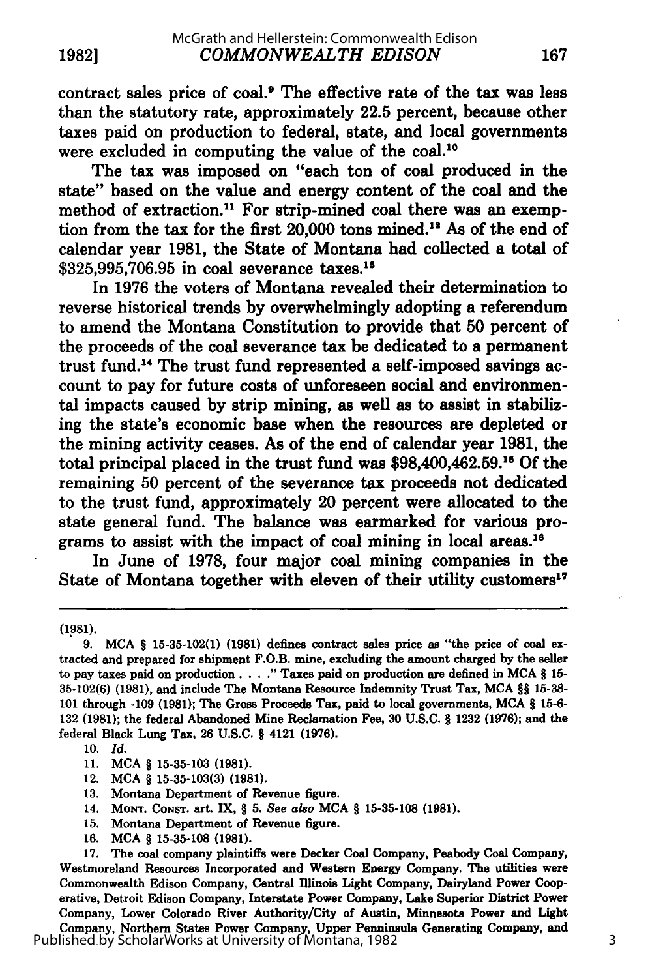contract sales price of coal.9 The effective rate of the tax was less than the statutory rate, approximately **22.5** percent, because other taxes paid on production to federal, state, and local governments were excluded in computing the value of the coal.'

The tax was imposed on "each ton of coal produced in the state" based on the value and energy content of the coal and the method of extraction.<sup>11</sup> For strip-mined coal there was an exemption from the tax for the first  $20,000$  tons mined.<sup>12</sup> As of the end of calendar year **1981,** the State of Montana had collected a total of \$325,995,706.95 in coal severance taxes.<sup>13</sup>

In **1976** the voters of Montana revealed their determination to reverse historical trends **by** overwhelmingly adopting a referendum to amend the Montana Constitution to provide that **50** percent of the proceeds of the coal severance tax be dedicated to a permanent trust fund." The trust fund represented a self-imposed savings account to pay for future costs of unforeseen social and environmental impacts caused **by** strip mining, as well as to assist in stabilizing the state's economic base when the resources are depleted or the mining activity ceases. As of the end of calendar year **1981,** the total principal placed in the trust fund was \$98,400,462.59.1' **Of** the remaining **50** percent of the severance tax proceeds not dedicated to the trust fund, approximately 20 percent were allocated to the state general fund. The balance was earmarked for various programs to assist with the impact of coal mining in local **areas.16**

In June of **1978,** four major coal mining companies in the State of Montana together with eleven of their utility customers<sup>17</sup>

**(1981).**

- **13.** Montana Department of Revenue figure.
- 14. **MONT.** CONST. art. **IX,** *§* **5.** See also **MCA** § **15-35-108 (1981).**
- **15.** Montana Department of Revenue figure.
- **16. MCA** *§* **15-35-108 (1981).**

<sup>9.</sup> MCA **§** 15-35-102(1) (1981) defines contract sales price as "the price of coal extracted and prepared for shipment F.O.B. mine, excluding the amount charged **by** the seller to pay taxes paid on production. **...** Taxes paid on production are defined in **MCA § 15- 35-102(6) (1981),** and include The Montana Resource Indemnity Trust Tax, **MCA §§ 15-38- 101** through **-109 (1981);** The Gross Proceeds Tax, paid to local governments, **MCA** § **15-6- 132 (1981);** the federal Abandoned Mine Reclamation Fee, **30 U.S.C. § 1232 (1976);** and the federal Black Lung Tax, **26 U.S.C. §** 4121 **(1976).**

<sup>10.</sup> *Id.*

<sup>11.</sup> **MCA §** 15-35-103 (1981).

<sup>12.</sup> **MCA §** 15-35-103(3) (1981).

**<sup>17.</sup>** The coal company plaintiffs were Decker Coal Company, Peabody Coal Company, Westmoreland Resources Incorporated and Western Energy Company. The utilities were Commonwealth Edison Company, Central Illinois Light Company, Dairyland Power Cooperative, Detroit Edison Company, Interstate Power Company, Lake Superior District Power Company, Lower Colorado River Authority/City of Austin, Minnesota Power and Light Company, Northern States Power Company, Upper Penninsula Generating Company, and Published by ScholarWorks at University of Montana, 1982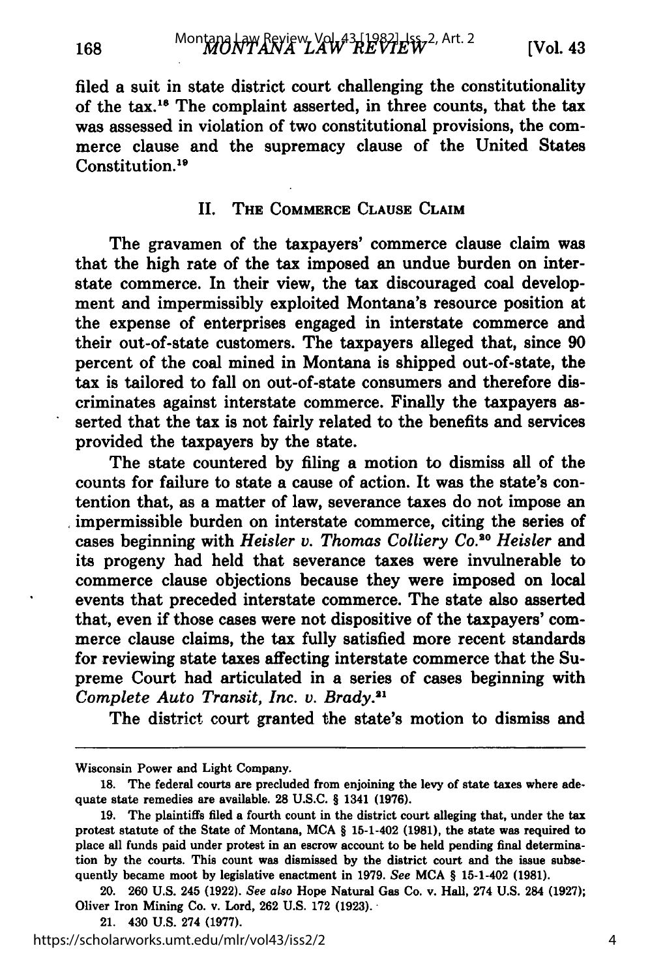168

filed a suit in state district court challenging the constitutionality of the tax.<sup>18</sup> The complaint asserted, in three counts, that the tax was assessed in violation of two constitutional provisions, the commerce clause and the supremacy clause of the United States Constitution.19

#### **II. THE COMMERCE CLAUSE CLAIM**

The gravamen of the taxpayers' commerce clause claim was that the high rate of the tax imposed an undue burden on interstate commerce. In their view, the tax discouraged coal development and impermissibly exploited Montana's resource position at the expense of enterprises engaged in interstate commerce and their out-of-state customers. The taxpayers alleged that, since **90** percent of the coal mined in Montana is shipped out-of-state, the tax is tailored to fall on out-of-state consumers and therefore discriminates against interstate commerce. Finally the taxpayers asserted that the tax is not fairly related to the benefits and services provided the taxpayers **by** the state.

The state countered **by** filing a motion to dismiss all of the counts for failure to state a cause of action. It was the state's contention that, as a matter of law, severance taxes do not impose an impermissible burden on interstate commerce, citing the series of cases beginning with *Heisler v. Thomas Colliery Co.*<sup>20</sup> Heisler and its progeny had held that severance taxes were invulnerable to commerce clause objections because they were imposed on local events that preceded interstate commerce. The state also asserted that, even if those cases were not dispositive of the taxpayers' commerce clause claims, the tax fully satisfied more recent standards for reviewing state taxes affecting interstate commerce that the Supreme Court had articulated in a series of cases beginning with *Complete Auto Transit, Inc. v. Brady.2*

The district court granted the state's motion to dismiss and

Wisconsin Power and Light Company.

**<sup>18.</sup>** The federal courts are precluded from enjoining the levy of state taxes where adequate state remedies are available. **28 U.S.C.** § 1341 **(1976).**

**<sup>19.</sup>** The plaintiffs filed a fourth count in the district court alleging that, under the tax protest statute of the State of Montana, **MCA** § 15-1-402 **(1981),** the state was required to place all funds paid under protest in an escrow account to be held pending final determination **by** the courts. This count was dismissed **by** the district court and the issue subsequently became moot **by** legislative enactment in **1979.** See **MCA** § 15-1-402 **(1981).**

<sup>20.</sup> **260 U.S.** 245 **(1922).** See *also* Hope Natural Gas Co. v. Hall, 274 **U.S.** 284 **(1927);** Oliver Iron Mining Co. v. Lord, **262 U.S. 172 (1923).**

<sup>21. 430</sup> **U.S.** 274 **(1977).**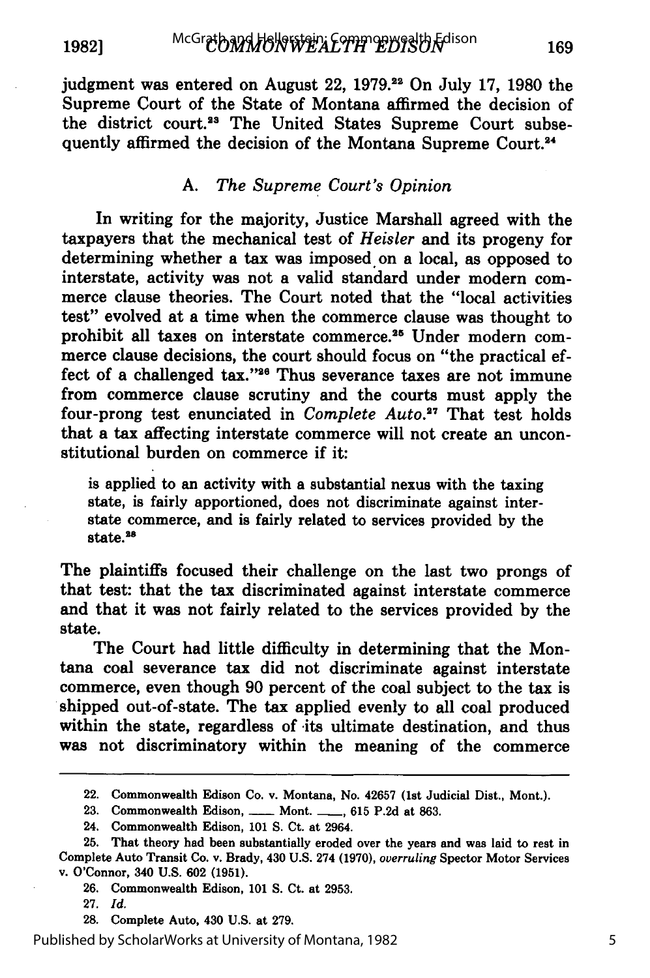**19821**

judgment was entered on August 22, **1979.22** On July **17, 1980** the Supreme Court of the State of Montana affirmed the decision of the district court.<sup>23</sup> The United States Supreme Court subsequently affirmed the decision of the Montana Supreme Court.<sup>24</sup>

#### *A. The Supreme Court's Opinion*

In writing for the majority, Justice Marshall agreed with the taxpayers that the mechanical test of *Heisler* and its progeny for determining whether a tax was imposed on a local, as opposed to interstate, activity was not a valid standard under modern commerce clause theories. The Court noted that the "local activities test" evolved at a time when the commerce clause was thought to prohibit all taxes on interstate commerce.<sup>25</sup> Under modern commerce clause decisions, the court should focus on "the practical effect of a challenged tax."<sup>26</sup> Thus severance taxes are not immune from commerce clause scrutiny and the courts must apply the four-prong test enunciated in *Complete Auto.*<sup>27</sup> That test holds that a tax affecting interstate commerce will not create an unconstitutional burden on commerce if it:

is applied to an activity with a substantial nexus with the taxing state, is fairly apportioned, does not discriminate against interstate commerce, and is fairly related to services provided **by** the state.<sup>28</sup>

The plaintiffs focused their challenge on the last two prongs of that test: that the tax discriminated against interstate commerce and that it was not fairly related to the services provided **by** the state.

The Court had little difficulty in determining that the Montana coal severance tax did not discriminate against interstate commerce, even though **90** percent of the coal subject to the tax is shipped out-of-state. The tax applied evenly to all coal produced within the state, regardless of its ultimate destination, and thus was not discriminatory within the meaning of the commerce

**26.** Commonwealth Edison, **101 S.** Ct. at **2953.**

**28.** Complete Auto, 430 **U.S.** at **279.**

Published by ScholarWorks at University of Montana, 1982

<sup>22.</sup> Commonwealth Edison Co. v. Montana, No. **42657** (1st Judicial Dist., Mont.).

<sup>23.</sup> Commonwealth Edison, **\_\_\_\_** Mont. **\_\_\_**, 615 P.2d at 863.

<sup>24.</sup> Commonwealth Edison, **101 S.** Ct. at 2964.

<sup>25.</sup> That theory had been substantially eroded over the years and was laid to rest in Complete Auto Transit Co. v. Brady, 430 **U.S.** 274 **(1970),** *overruling* Spector Motor Services **v.** O'Connor, 340 **U.S. 602 (1951).**

**<sup>27.</sup>** *Id.*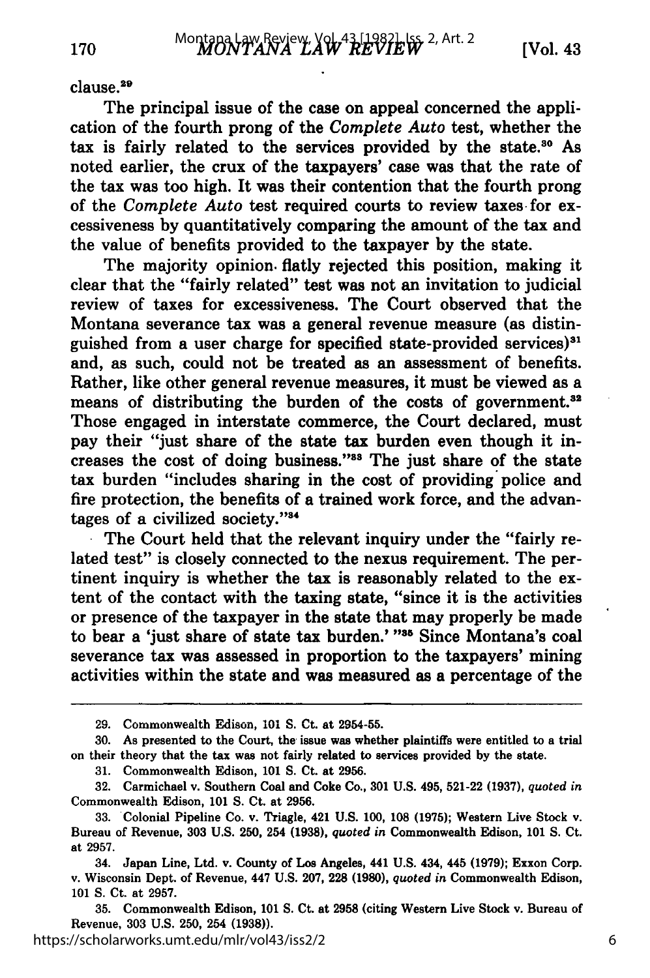#### clause.<sup>29</sup>

170

The principal issue of the case on appeal concerned the application of the fourth prong of the *Complete Auto* test, whether the tax is fairly related to the services provided by the state.<sup>30</sup> As noted earlier, the crux of the taxpayers' case was that the rate of the tax was too high. It was their contention that the fourth prong of the *Complete Auto* test required courts to review taxes for excessiveness **by** quantitatively comparing the amount of the tax and the value of benefits provided to the taxpayer **by** the state.

The majority opinion, flatly rejected this position, making it clear that the "fairly related" test was not an invitation to judicial review of taxes for excessiveness. The Court observed that the Montana severance tax was a general revenue measure (as distinguished from a user charge for specified state-provided services)<sup>31</sup> and, as such, could not be treated as an assessment of benefits. Rather, like other general revenue measures, it must be viewed as a means of distributing the burden of the costs of government.<sup>32</sup> Those engaged in interstate commerce, the Court declared, must pay their "just share of the state tax burden even though it increases the cost of doing business."<sup>33</sup> The just share of the state tax burden "includes sharing in the cost of providing police and fire protection, the benefits of a trained work force, and the advantages of a civilized society."<sup>34</sup>

The Court held that the relevant inquiry under the "fairly related test" is closely connected to the nexus requirement. The pertinent inquiry is whether the tax is reasonably related to the extent of the contact with the taxing state, "since it is the activities or presence of the taxpayer in the state that may properly be made to bear a 'just share of state tax burden.' **"86** Since Montana's coal severance tax was assessed in proportion to the taxpayers' mining activities within the state and was measured as a percentage of the

**35.** Commonwealth Edison, **101 S.** Ct. at **2958** (citing Western Live Stock v. Bureau of Revenue, **303 U.S. 250,** 254 **(1938)).**

https://scholarworks.umt.edu/mlr/vol43/iss2/2

**<sup>29.</sup>** Commonwealth Edison, **101 S.** Ct. at **2954-55.**

**<sup>30.</sup>** As presented to the Court, the issue was whether plaintiffs were entitled to a trial on their theory that the tax was not fairly related to services provided **by** the state.

**<sup>31.</sup>** Commonwealth Edison, **101 S.** Ct. at **2956.**

**<sup>32.</sup>** Carmichael v. Southern Coal and Coke Co., **301 U.S.** 495, **521-22 (1937),** *quoted in* Commonwealth Edison, **101 S.** Ct. at **2956.**

**<sup>33.</sup>** Colonial Pipeline Co. v. Triagle, 421 **U.S. 100, 108 (1975);** Western Live Stock v. Bureau of Revenue, **303 U.S.** 250, 254 **(1938),** *quoted in* Commonwealth Edison, **101 S.** Ct. at **2957.**

<sup>34.</sup> Japan Line, Ltd. v. County of Los Angeles, 441 **U.S.** 434, 445 **(1979);** Exxon Corp. v. Wisconsin Dept. of Revenue, 447 **U.S. 207, 228 (1980),** *quoted in* Commonwealth Edison, **101 S.** Ct. at **2957.**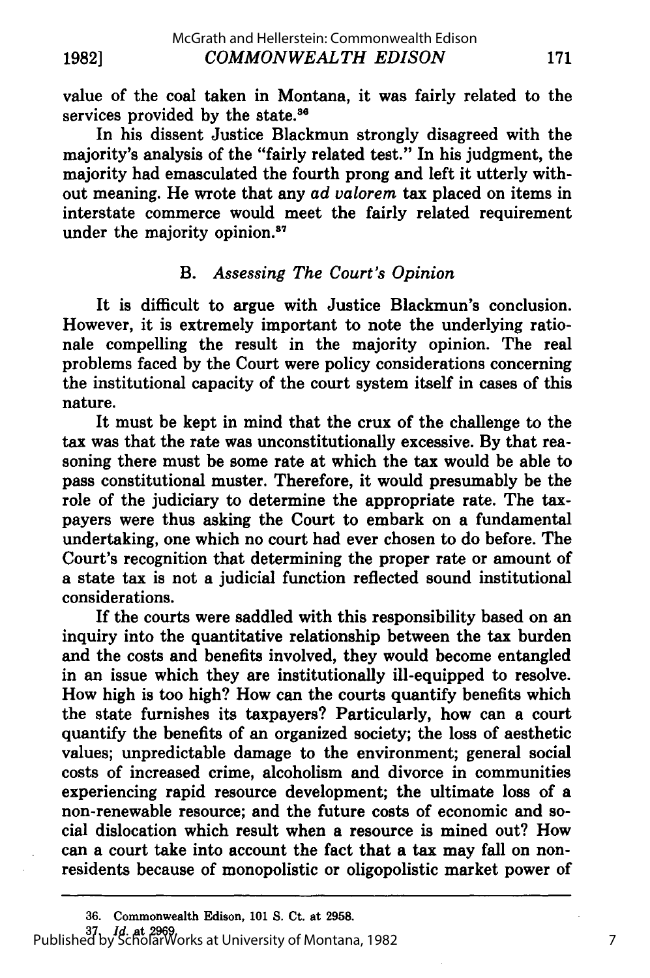value of the coal taken in Montana, it was fairly related to the services provided by the state.<sup>36</sup>

In his dissent Justice Blackmun strongly disagreed with the majority's analysis of the "fairly related test." In his judgment, the majority had emasculated the fourth prong and left it utterly without meaning. He wrote that any *ad valorem* tax placed on items in interstate commerce would meet the fairly related requirement under the majority opinion.<sup>37</sup>

## *B. Assessing The Court's Opinion*

It is difficult to argue with Justice Blackmun's conclusion. However, it is extremely important to note the underlying rationale compelling the result in the majority opinion. The real problems faced by the Court were policy considerations concerning the institutional capacity of the court system itself in cases of this nature.

It must be kept in mind that the crux of the challenge to the tax was that the rate was unconstitutionally excessive. By that reasoning there must be some rate at which the tax would be able to pass constitutional muster. Therefore, it would presumably be the role of the judiciary to determine the appropriate rate. The taxpayers were thus asking the Court to embark on a fundamental undertaking, one which no court had ever chosen to do before. The Court's recognition that determining the proper rate or amount of a state tax is not a judicial function reflected sound institutional considerations.

If the courts were saddled with this responsibility based on an inquiry into the quantitative relationship between the tax burden and the costs and benefits involved, they would become entangled in an issue which they are institutionally ill-equipped to resolve. How high is too high? How can the courts quantify benefits which the state furnishes its taxpayers? Particularly, how can a court quantify the benefits of an organized society; the loss of aesthetic values; unpredictable damage to the environment; general social costs of increased crime, alcoholism and divorce in communities experiencing rapid resource development; the ultimate loss of a non-renewable resource; and the future costs of economic and social dislocation which result when a resource is mined out? How can a court take into account the fact that a tax may fall on nonresidents because of monopolistic or oligopolistic market power of

**<sup>36.</sup>** Commonwealth Edison, 101 **S.** Ct. at **2958. 37.** *Id.* at **2969.** Published by ScholarWorks at University of Montana, 1982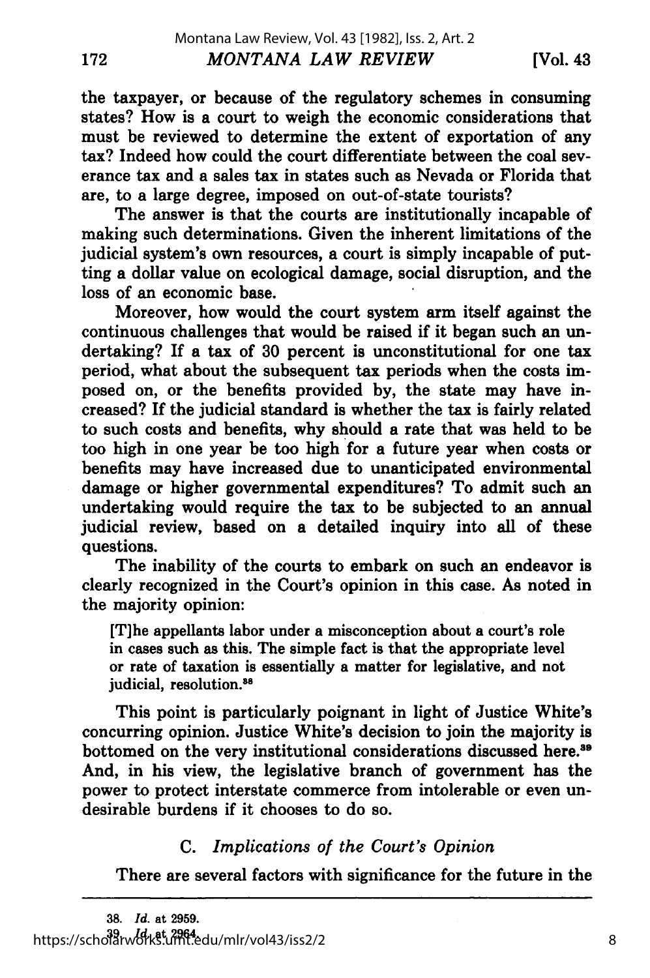172

**[Vol. 43**

the taxpayer, or because of the regulatory schemes in consuming states? How is a court to weigh the economic considerations that must be reviewed to determine the extent of exportation of any tax? Indeed how could the court differentiate between the coal severance tax and a sales tax in states such as Nevada or Florida that are, to a large degree, imposed on out-of-state tourists?

The answer is that the courts are institutionally incapable of making such determinations. Given the inherent limitations of the judicial system's own resources, a court is simply incapable of putting a dollar value on ecological damage, social disruption, and the loss of an economic base.

Moreover, how would the court system arm itself against the continuous challenges that would be raised if it began such an undertaking? If a tax of 30 percent is unconstitutional for one tax period, what about the subsequent tax periods when the costs imposed on, or the benefits provided by, the state may have increased? If the judicial standard is whether the tax is fairly related to such costs and benefits, why should a rate that was held to be too high in one year be too high for a future year when costs or benefits may have increased due to unanticipated environmental damage or higher governmental expenditures? To admit such an undertaking would require the tax to be subjected to an annual judicial review, based on a detailed inquiry into all of these questions.

The inability of the courts to embark on such an endeavor is clearly recognized in the Court's opinion in this case. As noted in the majority opinion:

[T]he appellants labor under a misconception about a court's role in cases such as this. The simple fact is that the appropriate level or rate of taxation is essentially a matter for legislative, and not judicial, resolution.<sup>88</sup>

This point is particularly poignant in light of Justice White's concurring opinion. Justice White's decision to join the majority is bottomed on the very institutional considerations discussed here.<sup>39</sup> And, in his view, the legislative branch of government has the power to protect interstate commerce from intolerable or even undesirable burdens if it chooses to do so.

## C. *Implications of the Court's Opinion*

There are several factors with significance for the future in the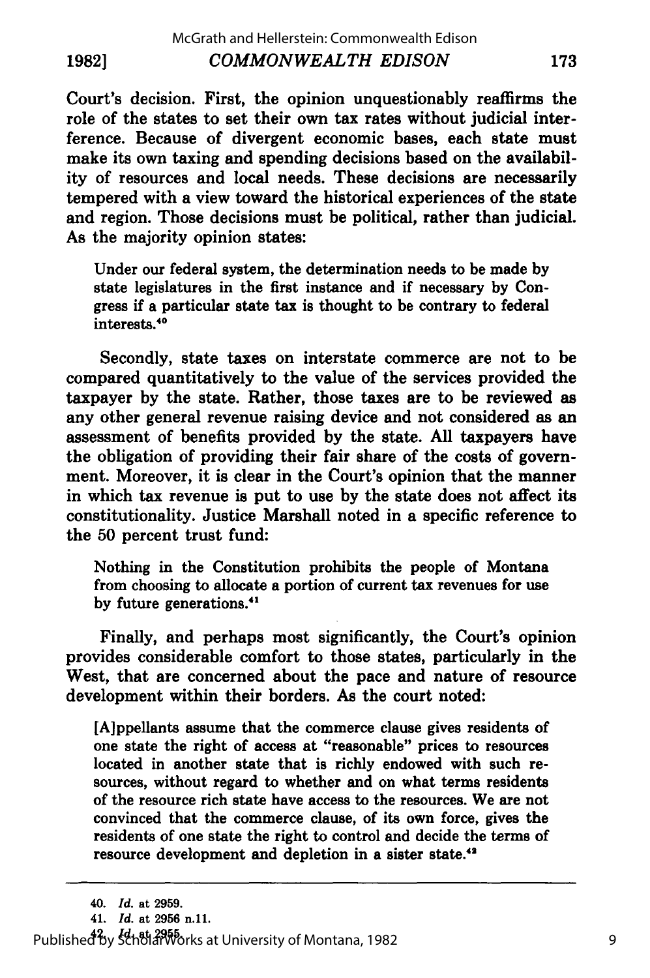**1982]**

Court's decision. First, the opinion unquestionably reaffirms the role of the states to set their own tax rates without judicial interference. Because of divergent economic bases, each state must make its own taxing and spending decisions based on the availability of resources and local needs. These decisions are necessarily tempered with a view toward the historical experiences of the state and region. Those decisions must be political, rather than judicial. As the majority opinion states:

Under our federal system, the determination needs to be made **by** state legislatures in the first instance and if necessary **by** Congress if a particular state tax is thought to be contrary to federal interests.40

Secondly, state taxes on interstate commerce are not to be compared quantitatively to the value of the services provided the taxpayer **by** the state. Rather, those taxes are to be reviewed as any other general revenue raising device and not considered as an assessment of benefits provided **by** the state. **All** taxpayers have the obligation of providing their fair share of the costs of government. Moreover, it is clear in the Court's opinion that the manner in which tax revenue is put to use **by** the state does not affect its constitutionality. Justice Marshall noted in a specific reference to the **50** percent trust fund:

Nothing in the Constitution prohibits the people of Montana from choosing to allocate a portion of current tax revenues for use **by** future generations. <sup>41</sup>

Finally, and perhaps most significantly, the Court's opinion provides considerable comfort to those states, particularly in the West, that are concerned about the pace and nature of resource development within their borders. As the court noted:

[Aippellants assume that the commerce clause gives residents of one state the right of access at "reasonable" prices to resources located in another state that is richly endowed with such resources, without regard to whether and on what terms residents of the resource rich state have access to the resources. We are not convinced that the commerce clause, of its own force, gives the residents of one state the right **to** control and decide the terms of resource development and depletion in a sister state.<sup>4</sup>

**<sup>42.</sup>** *Id.* **at 2955.** Published by ScholarWorks at University of Montana, 1982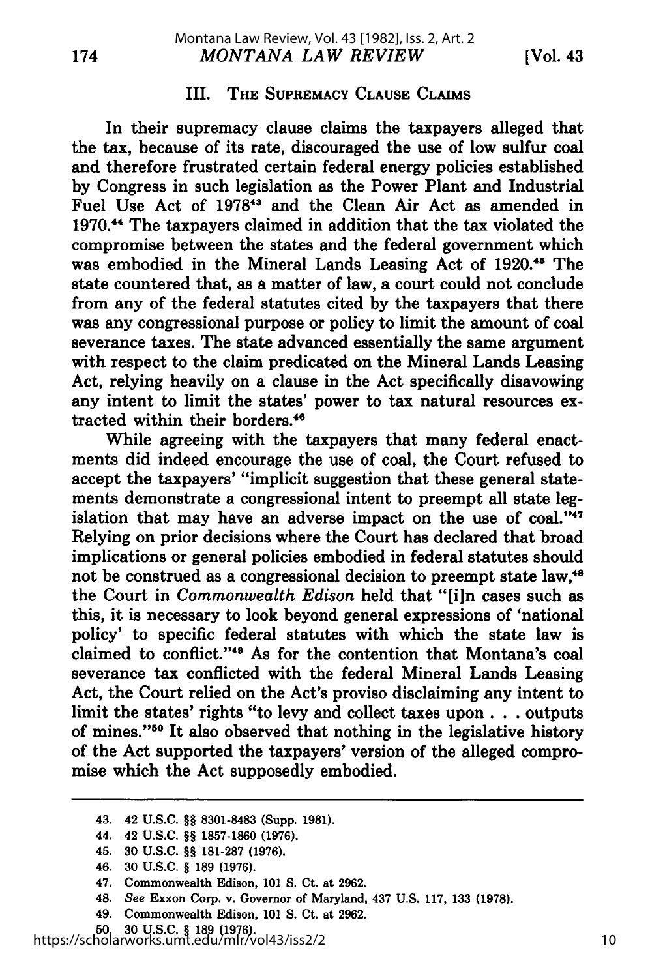#### III. THE SUPREMACY **CLAUSE CLAIMS**

In their supremacy clause claims the taxpayers alleged that the tax, because of its rate, discouraged the use of low sulfur coal and therefore frustrated certain federal energy policies established **by** Congress in such legislation as the Power Plant and Industrial Fuel Use Act of 1978<sup>43</sup> and the Clean Air Act as amended in **1970."1** The taxpayers claimed in addition that the tax violated the compromise between the states and the federal government which was embodied in the Mineral Lands Leasing Act of **1920. 4'** The state countered that, as a matter of law, a court could not conclude from any of the federal statutes cited **by** the taxpayers that there was any congressional purpose or policy to limit the amount of coal severance taxes. The state advanced essentially the same argument with respect to the claim predicated on the Mineral Lands Leasing Act, relying heavily on a clause in the Act specifically disavowing any intent to limit the states' power to tax natural resources extracted within their borders.<sup>46</sup>

While agreeing with the taxpayers that many federal enactments did indeed encourage the use of coal, the Court refused to accept the taxpayers' "implicit suggestion that these general statements demonstrate a congressional intent to preempt all state legislation that may have an adverse impact on the use of coal."<sup>47</sup> Relying on prior decisions where the Court has declared that broad implications or general policies embodied in federal statutes should not be construed as a congressional decision to preempt state law,<sup>48</sup> the Court in *Commonwealth Edison* held that "[i]n cases such as this, it is necessary to look beyond general expressions of 'national policy' to specific federal statutes with which the state law is claimed to conflict."'49 As for the contention that Montana's coal severance tax conflicted with the federal Mineral Lands Leasing Act, the Court relied on the Act's proviso disclaiming any intent to limit the states' rights "to levy and collect taxes upon. **. .** outputs of mines."50 It also observed that nothing in the legislative history of the Act supported the taxpayers' version of the alleged compromise which the Act supposedly embodied.

- 48. See Exxon Corp. v. Governor of Maryland, 437 **U.S. 117, 133 (1978).**
- 49. Commonwealth Edison, **101 S.** Ct. at **2962.**

<sup>43. 42</sup> **U.S.C.** *§§* **8301-8483** (Supp. **1981).**

<sup>44. 42</sup> **U.S.C.** *§§* **1857-1860 (1976).**

<sup>45.</sup> **30 U.S.C.** §§ **181-287 (1976).**

<sup>46.</sup> **30 U.S.C.** *§* **189 (1976).**

<sup>47.</sup> Commonwealth Edison, **101 S.** Ct. at **2962.**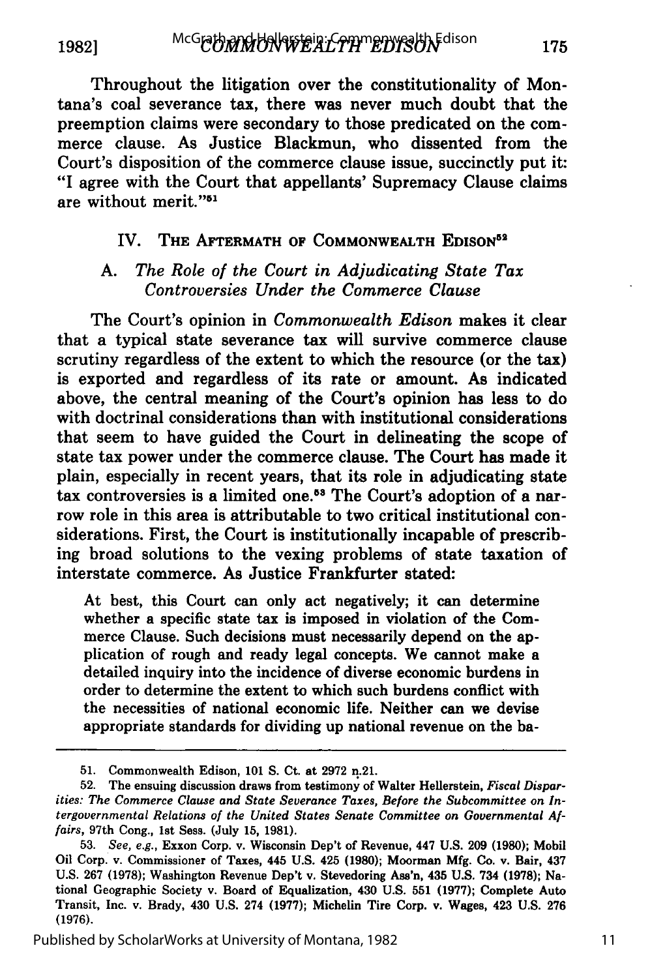**1982]**

Throughout the litigation over the constitutionality of Montana's coal severance tax, there was never much doubt that the preemption claims were secondary to those predicated on the commerce clause. As Justice Blackmun, who dissented from the Court's disposition of the commerce clause issue, succinctly put it: "I agree with the Court that appellants' Supremacy Clause claims are without merit."<sup>51</sup>

#### IV. **THE AFTERMATH** OF **COMMONWEALTH EDISON<sup>52</sup>**

#### *A. The Role of the Court in Adjudicating State Tax Controversies Under the Commerce Clause*

The Court's opinion in *Commonwealth Edison* makes it clear that a typical state severance tax will survive commerce clause scrutiny regardless of the extent to which the resource (or the tax) is exported and regardless of its rate or amount. As indicated above, the central meaning of the Court's opinion has less to do with doctrinal considerations than with institutional considerations that seem to have guided the Court in delineating the scope of state tax power under the commerce clause. The Court has made it plain, especially in recent years, that its role in adjudicating state tax controversies is a limited one.<sup>53</sup> The Court's adoption of a narrow role in this area is attributable to two critical institutional considerations. First, the Court is institutionally incapable of prescribing broad solutions to the vexing problems of state taxation of interstate commerce. As Justice Frankfurter stated:

At best, this Court can only act negatively; **it** can determine whether a specific state tax is imposed in violation of the Commerce Clause. Such decisions must necessarily depend on the application of rough and ready legal concepts. We cannot make a detailed inquiry into the incidence of diverse economic burdens in order to determine the extent to which such burdens conflict with the necessities of national economic life. Neither can we devise appropriate standards for dividing up national revenue on the **ba-**

**<sup>51.</sup>** Commonwealth Edison, **101 S.** Ct. at **2972** n.21.

<sup>52.</sup> The ensuing discussion draws from testimony of Walter Hellerstein, *Fiscal Disparities: The Commerce Clause and State Severance Taxes, Before the Subcommittee on Intergovernmental Relations of the United States Senate Committee on Governmental Affairs,* 97th Cong., **1st** Sess. (July **15, 1981).**

**<sup>53.</sup>** *See, e.g.,* Exxon Corp. v. Wisconsin Dep't of Revenue, 447 **U.S. 209 (1980);** Mobil Oil Corp. v. Commissioner of Taxes, 445 **U.S.** 425 **(1980);** Moorman **Mfg.** Co. v. Bair, 437 **U.S. 267 (1978);** Washington Revenue Dep't v. Stevedoring Ass'n, 435 **U.S.** 734 **(1978);** National Geographic Society v. Board of Equalization, 430 **U.S. 551 (1977);** Complete Auto Transit, Inc. v. Brady, 430 **U.S.** 274 **(1977);** Michelin Tire Corp. v. Wages, 423 **U.S. 276 (1976).**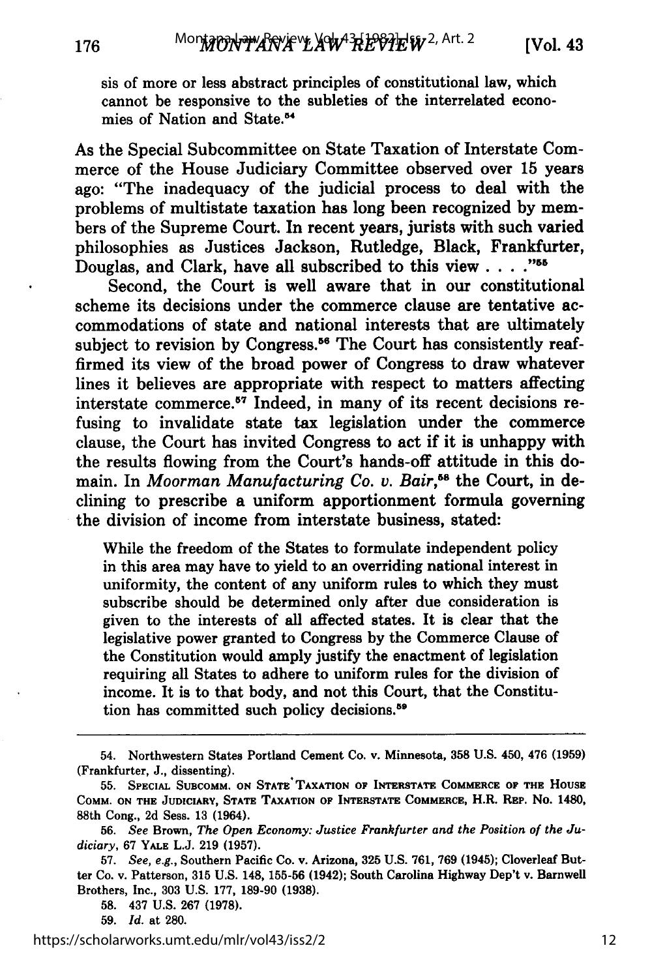sis of more or less abstract principles of constitutional law, which cannot be responsive to the subleties of the interrelated economies of Nation and State.<sup>54</sup>

As the Special Subcommittee on State Taxation of Interstate Commerce of the House Judiciary Committee observed over 15 years ago: "The inadequacy of the judicial process to deal with the problems of multistate taxation has long been recognized by members of the Supreme Court. In recent years, jurists with such varied philosophies as Justices Jackson, Rutledge, Black, Frankfurter, Douglas, and Clark, have all subscribed to this view. . **.. "55**

Second, the Court is well aware that in our constitutional scheme its decisions under the commerce clause are tentative accommodations of state and national interests that are ultimately subject to revision by Congress.<sup>56</sup> The Court has consistently reaffirmed its view of the broad power of Congress to draw whatever lines it believes are appropriate with respect to matters affecting interstate commerce. 57 Indeed, in many of its recent decisions refusing to invalidate state tax legislation under the commerce clause, the Court has invited Congress to act if it is unhappy with the results flowing from the Court's hands-off attitude in this domain. In *Moorman Manufacturing Co. v. Bair*,<sup>58</sup> the Court, in declining to prescribe a uniform apportionment formula governing the division of income from interstate business, stated:

While the freedom of the States to formulate independent policy in this area may have to yield to an overriding national interest in uniformity, the content of any uniform rules to which they must subscribe should be determined only after due consideration is given to the interests of all affected states. It is clear that the legislative power granted to Congress by the Commerce Clause of the Constitution would amply justify the enactment of legislation requiring all States to adhere to uniform rules for the division of income. It is to that body, and not this Court, that the Constitution has committed such policy decisions.<sup>59</sup>

<sup>54.</sup> Northwestern States Portland Cement Co. v. Minnesota, **358** U.S. 450, 476 (1959) (Frankfurter, J., dissenting).

**<sup>55.</sup> SPECIAL SUBCOMM. ON STATE TAXATION OF INTERSTATE COMMERCE OF THE HOUSE COMM. ON THE JUDICIARY,** STATE **TAXATION** OF INTERSTATE **COMMERCE,** H.R. **REP. No.** 1480, 88th **Cong., 2d Sess. 13** (1964).

**<sup>56.</sup>** *See* **Brown,** *The Open Economy: Justice Frankfurter and the Position of the Judiciary,* **67 YALE L.J. 219 (1957).**

**<sup>57.</sup>** *See, e.g.,* Southern Pacific Co. **v. Arizona, 325 U.S. 761, 769** (1945); Cloverleaf Butter Co. v. Patterson, **315 U.S.** 148, **155-56** (1942); South **Carolina Highway Dep't v. Barnwell Brothers, Inc., 303 U.S. 177, 189-90 (1938).**

**<sup>58.</sup>** 437 **U.S. 267 (1978).**

**<sup>59.</sup>** *Id.* at **280.**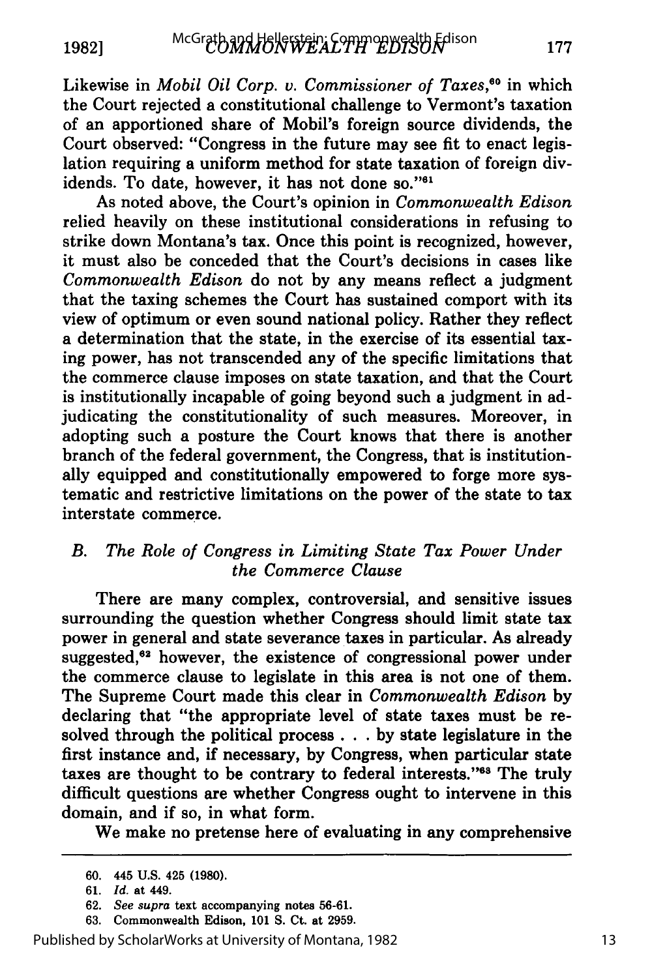Likewise in *Mobil Oil Corp. v. Commissioner of Taxes*,<sup>60</sup> in which the Court rejected a constitutional challenge to Vermont's taxation of an apportioned share of Mobil's foreign source dividends, the Court observed: "Congress in the future may see fit to enact legislation requiring a uniform method for state taxation of foreign dividends. To date, however, it has not done so."<sup>61</sup>

As noted above, the Court's opinion in *Commonwealth Edison* relied heavily on these institutional considerations in refusing to strike down Montana's tax. Once this point is recognized, however, it must also be conceded that the Court's decisions in cases like *Commonwealth Edison* do not **by** any means reflect a judgment that the taxing schemes the Court has sustained comport with its view of optimum or even sound national policy. Rather they reflect a determination that the state, in the exercise of its essential taxing power, has not transcended any of the specific limitations that the commerce clause imposes on state taxation, and that the Court is institutionally incapable of going beyond such a judgment in adjudicating the constitutionality of such measures. Moreover, in adopting such a posture the Court knows that there is another branch of the federal government, the Congress, that is institutionally equipped and constitutionally empowered to forge more systematic and restrictive limitations on the power of the state to tax interstate commerce.

## *B. The Role of Congress in Limiting State Tax Power Under the Commerce Clause*

There are many complex, controversial, and sensitive issues surrounding the question whether Congress should limit state tax power in general and state severance taxes in particular. As already suggested,<sup>62</sup> however, the existence of congressional power under the commerce clause to legislate in this area is not one of them. The Supreme Court made this clear in *Commonwealth Edison* **by** declaring that "the appropriate level of state taxes must be resolved through the political process **. . . by** state legislature in the first instance and, if necessary, **by** Congress, when particular state taxes are thought to be contrary to federal interests."<sup>63</sup> The truly difficult questions are whether Congress ought to intervene in this domain, and if so, in what form.

We make no pretense here of evaluating in any comprehensive

Published by ScholarWorks at University of Montana, 1982

**<sup>60.</sup>** 445 **U.S.** 425 **(1980).**

**<sup>61.</sup>** *Id.* at 449.

**<sup>62.</sup>** *See supra* text accompanying notes **56-61.**

<sup>63.</sup> Commonwealth Edison, 101 **S.** Ct. at 2959.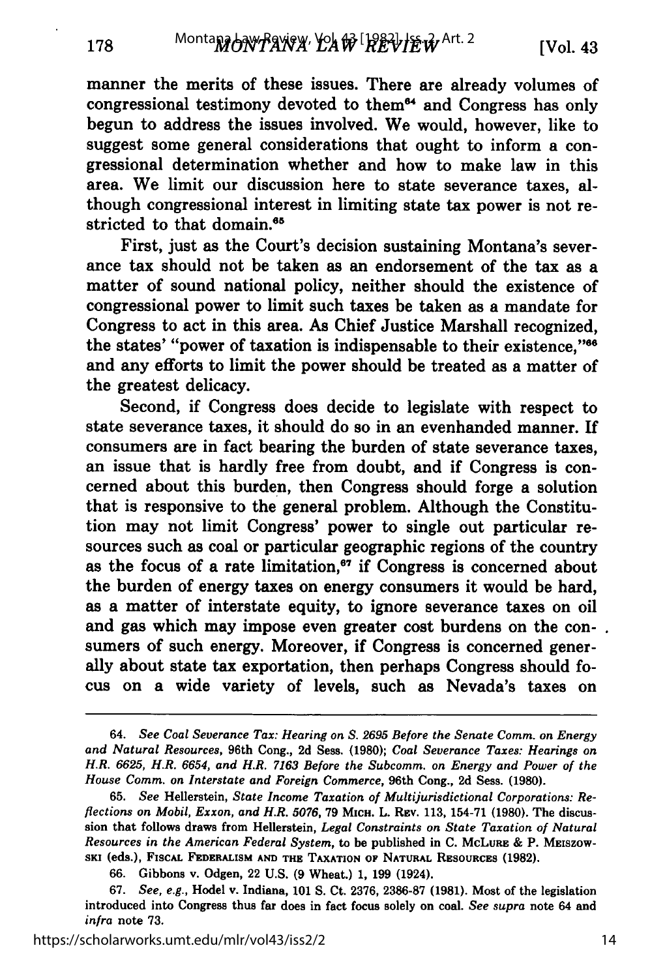manner the merits of these issues. There are already volumes of congressional testimony devoted to them<sup>64</sup> and Congress has only begun to address the issues involved. We would, however, like to suggest some general considerations that ought to inform a congressional determination whether and how to make law in this area. We limit our discussion here to state severance taxes, although congressional interest in limiting state tax power is not restricted to that domain.<sup>65</sup>

First, just as the Court's decision sustaining Montana's severance tax should not be taken as an endorsement of the tax as a matter of sound national policy, neither should the existence of congressional power to limit such taxes be taken as a mandate for Congress to act in this area. As Chief Justice Marshall recognized, the states' "power of taxation is indispensable to their existence,"<sup>66</sup> and any efforts to limit the power should be treated as a matter of the greatest delicacy.

Second, if Congress does decide to legislate with respect to state severance taxes, it should do so in an evenhanded manner. If consumers are in fact bearing the burden of state severance taxes, an issue that is hardly free from doubt, and if Congress is concerned about this burden, then Congress should forge a solution that is responsive to the general problem. Although the Constitution may not limit Congress' power to single out particular resources such as coal or particular geographic regions of the country as the focus of a rate limitation, $^{67}$  if Congress is concerned about the burden of energy taxes on energy consumers it would be hard, as a matter of interstate equity, to ignore severance taxes on oil and gas which may impose even greater cost burdens on the consumers of such energy. Moreover, if Congress is concerned generally about state tax exportation, then perhaps Congress should focus on a wide variety of levels, such as Nevada's taxes on

<sup>64.</sup> *See Coal Severance Tax: Hearing on* **S.** *2695 Before the Senate Comm. on Energy and Natural Resources,* 96th Cong., **2d** Sess. **(1980);** *Coal Severance Taxes: Hearings on H.R. 6625, H.R. 6654, and H.R. 7163 Before the Subcomm. on Energy and Power of the House Comm. on Interstate and Foreign Commerce,* 96th Cong., **2d** Sess. **(1980).**

**<sup>65.</sup>** *See* Hellerstein, *State Income Taxation of Multijurisdictional Corporations: Reflections on Mobil, Exxon, and H.R. 5076,* **79 MICH.** L. REv. **113,** 154-71 **(1980).** The discussion that follows draws from Hellerstein, *Legal Constraints on State Taxation of Natural Resources in the American Federal System,* to be published in **C.** McLuRs **&** P. Mrnszow-**SKI** (eds.), FIscAL **FEDERALISM AND THE TAXATION OF NATURAL RESOURCES (1982).**

**<sup>66.</sup>** Gibbons v. Odgen, 22 **U.S. (9** Wheat.) **1, 199** (1924).

**<sup>67.</sup>** *See, e.g.,* Hodel v. Indiana, **101 S.** Ct. **2376, 2386-87 (1981).** Most of the legislation introduced into Congress thus far does in fact focus solely on coal. *See supra* note 64 and *infra* note **73.**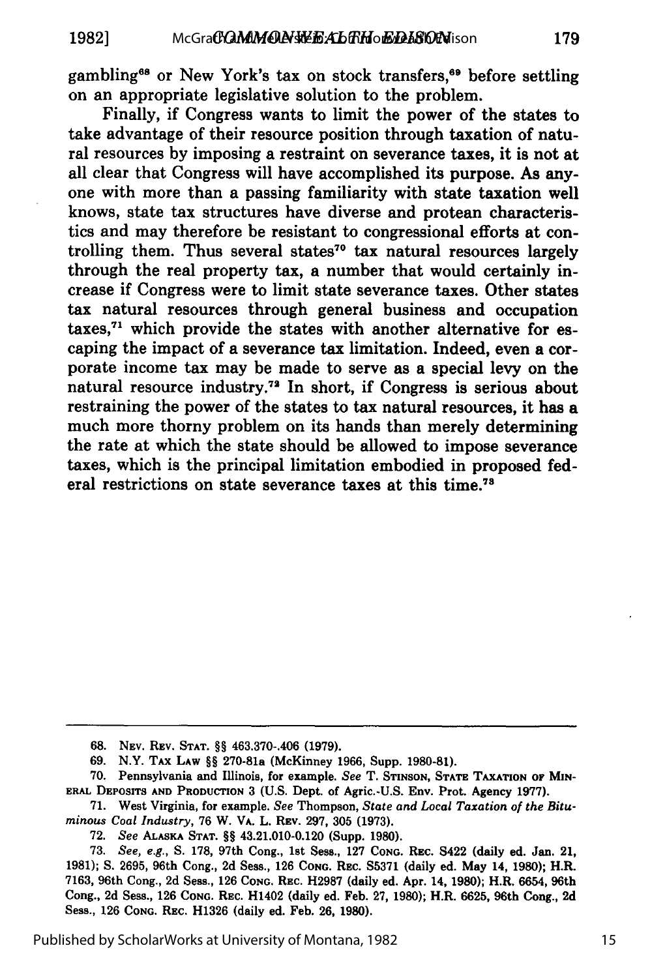gambling<sup>68</sup> or New York's tax on stock transfers,<sup>69</sup> before settling on an appropriate legislative solution to the problem.

Finally, if Congress wants to limit the power of the states to take advantage of their resource position through taxation of natural resources by imposing a restraint on severance taxes, it is not at all clear that Congress will have accomplished its purpose. As anyone with more than a passing familiarity with state taxation well knows, state tax structures have diverse and protean characteristics and may therefore be resistant to congressional efforts at controlling them. Thus several states<sup>70</sup> tax natural resources largely through the real property tax, a number that would certainly increase if Congress were to limit state severance taxes. Other states tax natural resources through general business and occupation taxes, $71$  which provide the states with another alternative for escaping the impact of a severance tax limitation. Indeed, even a corporate income tax may be made to serve as a special levy on the natural resource industry.72 In short, if Congress is serious about restraining the power of the states to tax natural resources, it has a much more thorny problem on its hands than merely determining the rate at which the state should be allowed to impose severance taxes, which is the principal limitation embodied in proposed federal restrictions on state severance taxes at this time.78

**68. NEV.** REV. **STAT.** §§ 463.370-.406 **(1979).**

**69.** N.Y. **TAx** LAW §§ 270-81a (McKinney **1966,** Supp. **1980-81).**

**70.** Pennsylvania and Illinois, for example. See T. **STINSON, STATE** TAXATION **OF MIN-ERAL DEPOSITS AND PRODUCTION 3 (U.S.** Dept. of Agric.-U.S. Env. Prot. Agency **1977).**

**71.** West Virginia, for example. See Thompson, State and *Local Taxation of the Bituminous Coal Industry,* **76** W. VA. L. REV. **297, 305 (1973).**

**72.** *See* **ALASKA STAT.** §§ 43.21.010-0.120 (Supp. **1980).**

**73.** *See, e.g.,* **S. 178,** 97th Cong., 1st Sess., **127 CONG.** REc. 5422 (daily ed. Jan. 21, **1981); S. 2695,** 96th Cong., **2d** Sess., **126 CONG.** REC. **S5371** (daily ed. May 14, **1980);** H.R. **7163,** 96th Cong., **2d** Sess., **126 CONG.** REc. **H2987** (daily ed. Apr. 14, **1980);** H.R. **6654,** 96th Cong., **2d** Sess., **126 CONG.** REC. H1402 (daily ed. Feb. **27, 1980);** H.R. **6625,** 96th Cong., **2d** Sess., **126 CONG.** REC. **H1326** (daily ed. Feb. **26, 1980).**

Published by ScholarWorks at University of Montana, 1982